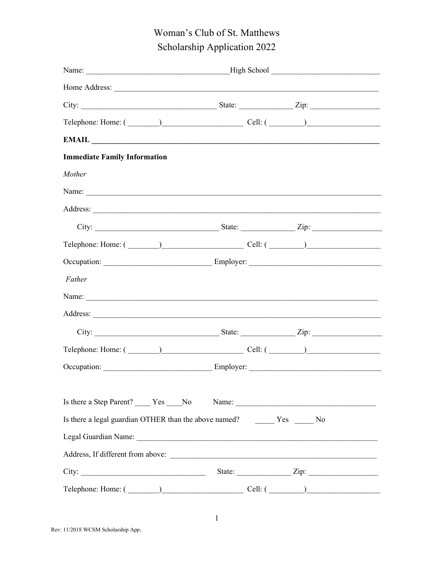# Woman's Club of St. Matthews Scholarship Application 2022

|                                     | Telephone: Home: $(\_\_)$                                                                                                                                                                                                                                                                                                                                                                                                                                                                                            |                               |  |
|-------------------------------------|----------------------------------------------------------------------------------------------------------------------------------------------------------------------------------------------------------------------------------------------------------------------------------------------------------------------------------------------------------------------------------------------------------------------------------------------------------------------------------------------------------------------|-------------------------------|--|
|                                     | $\pmb{\text{EMAIL}}\text{ \textcolor{red}{\textbf{1}}\text{ \textcolor{red}{\textbf{1}}\text{ \textcolor{red}{\textbf{2}}}}\text{ \textcolor{red}{\textbf{2}}\text{ \textcolor{red}{\textbf{2}}\text{ \textcolor{red}{\textbf{2}}}}\text{ \textcolor{red}{\textbf{2}}\text{ \textcolor{red}{\textbf{2}}\text{ \textcolor{red}{\textbf{2}}}}\text{ \textcolor{red}{\textbf{2}}\text{ \textcolor{red}{\textbf{2}}\text{ \textcolor{red}{\textbf{2}}}}\text{ \textcolor{red}{\textbf{2}}\text{ \textcolor{red}{\textbf$ |                               |  |
| <b>Immediate Family Information</b> |                                                                                                                                                                                                                                                                                                                                                                                                                                                                                                                      |                               |  |
| Mother                              |                                                                                                                                                                                                                                                                                                                                                                                                                                                                                                                      |                               |  |
|                                     |                                                                                                                                                                                                                                                                                                                                                                                                                                                                                                                      |                               |  |
|                                     |                                                                                                                                                                                                                                                                                                                                                                                                                                                                                                                      |                               |  |
|                                     |                                                                                                                                                                                                                                                                                                                                                                                                                                                                                                                      |                               |  |
|                                     | $\text{Telephone: Home: } (\_\_\_\_\_\_\_\_\_\_\_\_\_\_ \ \text{Cell: } (\_\_\_\_\_\_\_\_\_\_\_\_\_\_ \$                                                                                                                                                                                                                                                                                                                                                                                                             |                               |  |
|                                     |                                                                                                                                                                                                                                                                                                                                                                                                                                                                                                                      |                               |  |
| Father                              |                                                                                                                                                                                                                                                                                                                                                                                                                                                                                                                      |                               |  |
|                                     |                                                                                                                                                                                                                                                                                                                                                                                                                                                                                                                      |                               |  |
|                                     |                                                                                                                                                                                                                                                                                                                                                                                                                                                                                                                      |                               |  |
|                                     |                                                                                                                                                                                                                                                                                                                                                                                                                                                                                                                      |                               |  |
|                                     | $\text{Telephone: Home: } (\hspace{20pt} \text{\hspace{20pt}}) \hspace{20pt} \text{\hspace{20pt}} \text{\hspace{20pt}} \text{\hspace{20pt}} \text{\hspace{20pt}} \text{\hspace{20pt}} \text{\hspace{20pt}} \text{\hspace{20pt}} \text{\hspace{20pt}} \text{\hspace{20pt}} \text{\hspace{20pt}} \text{\hspace{20pt}} \text{\hspace{20pt}} \text{\hspace{20pt}} \text{\hspace{20pt}} \text{\hspace{20pt}} \text{\hspace{20pt}} \text{\hspace{20pt}} \text{\hspace{20pt}} \text{\hs$                                    |                               |  |
|                                     |                                                                                                                                                                                                                                                                                                                                                                                                                                                                                                                      |                               |  |
|                                     |                                                                                                                                                                                                                                                                                                                                                                                                                                                                                                                      |                               |  |
|                                     | Is there a Step Parent? ______ Yes _____No Name: ________________________________                                                                                                                                                                                                                                                                                                                                                                                                                                    |                               |  |
|                                     |                                                                                                                                                                                                                                                                                                                                                                                                                                                                                                                      |                               |  |
|                                     |                                                                                                                                                                                                                                                                                                                                                                                                                                                                                                                      |                               |  |
|                                     |                                                                                                                                                                                                                                                                                                                                                                                                                                                                                                                      |                               |  |
| City:                               |                                                                                                                                                                                                                                                                                                                                                                                                                                                                                                                      | State: $\angle$ Zip: $\angle$ |  |
|                                     | $\text{Telephone: Home: } (\_\_\_\_\_\_\_\_\_\_\_\_\_\_\_ \ \text{Cell: } (\_\_\_\_\_\_\_\_\_\_\_\_\_\_\_\_\_\_\_ \$                                                                                                                                                                                                                                                                                                                                                                                                 |                               |  |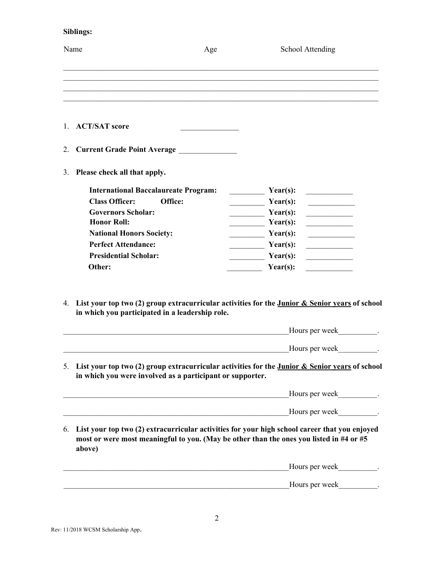## Siblings:

| Name                               | Age                                                       | School Attending                                                                                                                                                                                                                                                                     |
|------------------------------------|-----------------------------------------------------------|--------------------------------------------------------------------------------------------------------------------------------------------------------------------------------------------------------------------------------------------------------------------------------------|
|                                    |                                                           |                                                                                                                                                                                                                                                                                      |
| 1. ACT/SAT score                   |                                                           |                                                                                                                                                                                                                                                                                      |
| 2.                                 | Current Grade Point Average ______________                |                                                                                                                                                                                                                                                                                      |
| Please check all that apply.<br>3. |                                                           |                                                                                                                                                                                                                                                                                      |
|                                    | <b>International Baccalaureate Program:</b>               | Year(s):                                                                                                                                                                                                                                                                             |
| <b>Class Officer:</b>              | Office:                                                   | Year(s):<br><u> 1999 - Johann Barnett, f</u><br><u> 1989 - Jan Stein Stein Stein Stein Stein Stein Stein Stein Stein Stein Stein Stein Stein Stein Stein Stein Stein Stein Stein Stein Stein Stein Stein Stein Stein Stein Stein Stein Stein Stein Stein Stein Stein Stein Stein</u> |
| <b>Governors Scholar:</b>          |                                                           | $\frac{\text{Year(s)}}{\text{Year(s)}}$                                                                                                                                                                                                                                              |
| <b>Honor Roll:</b>                 |                                                           | $\frac{\text{Year(s)}}{1}$                                                                                                                                                                                                                                                           |
| <b>National Honors Society:</b>    |                                                           | $\frac{\text{Year(s)}}{\text{Year(s)}}$<br><u> La Carlo de la Carlo de la Carlo de la Carlo de la Carlo de la Carlo de la Carlo de la Carlo de la Carlo de l</u>                                                                                                                     |
| <b>Perfect Attendance:</b>         |                                                           | $\frac{\text{Year(s)}}{1}$                                                                                                                                                                                                                                                           |
| <b>Presidential Scholar:</b>       |                                                           | $\frac{\text{Year(s)}}{1}$<br><u> Listen de la provincia de la provincia de la provincia de la provincia de la provincia de la provincia de la </u>                                                                                                                                  |
| Other:                             |                                                           | Year(s):<br><u> La Carlo de la Carlo de la Carlo de la Carlo de la Carlo de la Carlo de la Carlo de la Carlo de la Carlo de l</u>                                                                                                                                                    |
|                                    |                                                           |                                                                                                                                                                                                                                                                                      |
|                                    | in which you participated in a leadership role.           | 4. List your top two (2) group extracurricular activities for the Junior & Senior years of school<br>Hours per week .                                                                                                                                                                |
|                                    | in which you were involved as a participant or supporter. | Hours per week .<br>5. List your top two (2) group extracurricular activities for the Junior & Senior years of school                                                                                                                                                                |
|                                    |                                                           |                                                                                                                                                                                                                                                                                      |
|                                    |                                                           | Hours per week                                                                                                                                                                                                                                                                       |
| 6.<br>above)                       |                                                           | List your top two (2) extracurricular activities for your high school career that you enjoyed<br>most or were most meaningful to you. (May be other than the ones you listed in #4 or #5                                                                                             |
|                                    |                                                           |                                                                                                                                                                                                                                                                                      |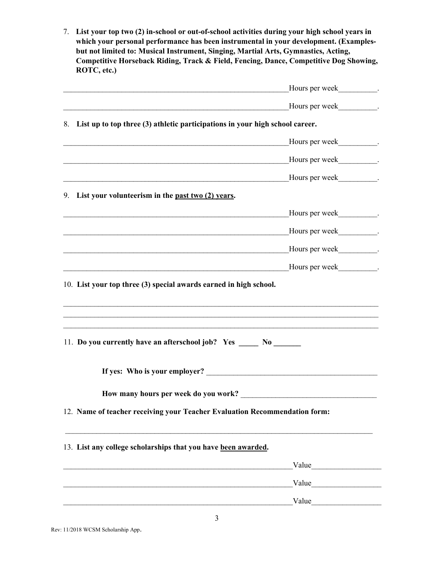7. List your top two (2) in-school or out-of-school activities during your high school years in which your personal performance has been instrumental in your development. (Examplesbut not limited to: Musical Instrument, Singing, Martial Arts, Gymnastics, Acting, Competitive Horseback Riding, Track & Field, Fencing, Dance, Competitive Dog Showing, ROTC, etc.)

| Hours per week .                                                                                                              |  |
|-------------------------------------------------------------------------------------------------------------------------------|--|
|                                                                                                                               |  |
| 8. List up to top three (3) athletic participations in your high school career.                                               |  |
| <u> Andreas Andreas Andreas Andreas Andreas Andreas Andreas Andreas Andreas Andreas Andreas Andreas Andreas Andr</u>          |  |
|                                                                                                                               |  |
| and the control of the control of the control of the control of the control of the control of the control of the              |  |
| 9. List your volunteerism in the past two (2) years.                                                                          |  |
|                                                                                                                               |  |
|                                                                                                                               |  |
| Hours per week                                                                                                                |  |
| Hours per week                                                                                                                |  |
| 10. List your top three (3) special awards earned in high school.                                                             |  |
|                                                                                                                               |  |
|                                                                                                                               |  |
| 11. Do you currently have an afterschool job? Yes ______ No _______                                                           |  |
|                                                                                                                               |  |
|                                                                                                                               |  |
| How many hours per week do you work?                                                                                          |  |
| 12. Name of teacher receiving your Teacher Evaluation Recommendation form:                                                    |  |
|                                                                                                                               |  |
| 13. List any college scholarships that you have been awarded.                                                                 |  |
| Value                                                                                                                         |  |
| Value<br><u> 2000 - 2000 - 2000 - 2000 - 2000 - 2000 - 2000 - 2000 - 2000 - 2000 - 2000 - 2000 - 2000 - 2000 - 2000 - 200</u> |  |
|                                                                                                                               |  |
|                                                                                                                               |  |